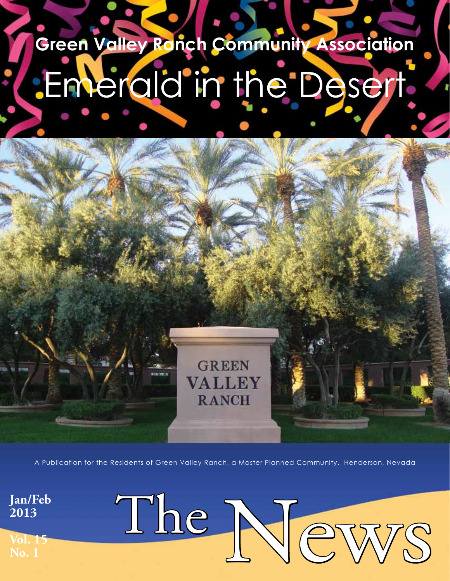# **Green Valley Ranch Community Association** Emerald in the Desert

A Publication for the Residents of Green Valley Ranch, a Master Planned Community. Henderson, Nevada

**GREEN** 

**VALLEY** 

**RANCH** 

The News

**Jan/Feb 2013**

**Vol. 15 No. 1**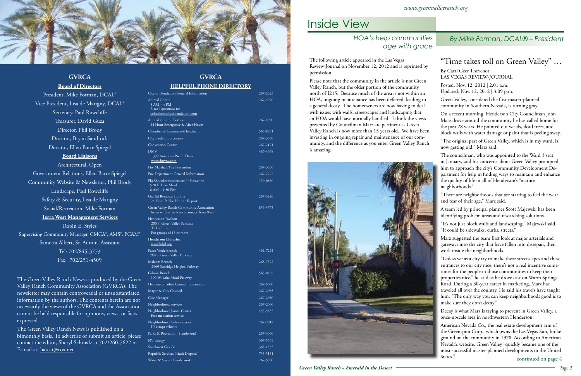President, Mike Forman, DCAL® Vice President, Lisa de Marigny, DCAL® Secretary, Paul Rowcliffe Treasurer, David Guza Director, Phil Brody Director, Bryan Sandrock Director, Ellen Barre Spiegel **Board Liaisons** Architectural, Open Government Relations, Ellen Barre Spiegel Community Website & Newsletter, Phil Brody Landscape, Paul Rowcliffe Safety & Security, Lisa de Marigny Social/Recreation, Mike Forman **Terra West Management Services** Robin E. Styles Supervising Community Manager, CMCA®, AMS®, PCAM®



### **GVRCA**

### **Board of Directors**

Sametra Albert, Sr. Admin. Assistant Tel: 702/845-3773 Fax: 702/251-4509

The Green Valley Ranch News is produced by the Green Valley Ranch Community Association (GVRCA). The newsletter may contain controversial or unsubstantiated information by the authors. The contents herein are not necessarily the views of the GVRCA and the Association cannot be held responsible for opinions, views, or facts expressed.

The Green Valley Ranch News is published on a bimonthly basis. To advertise or submit an article, please contact the editor, Sheryl Schmalz at 702/260-7622 or E-mail at: hatcat@cox.net

### **GVRCA HELPFUL PHONE DIRECTORY**

| <u>JNE DIRECTORI</u>                                                                         |          |
|----------------------------------------------------------------------------------------------|----------|
| City of Henderson General Information                                                        | 267-2323 |
| Animal Control<br>$8 AM - 4 PM$<br>E-mail questions to:<br>cohanim@cityofhenderson.com       | 267-4970 |
| <b>Animal Control Hotline</b><br>24 Hour Emergency & After Hours                             | 267-4900 |
| Chamber of Commerce/Henderson                                                                | 565-8951 |
| City Code Enforcement                                                                        | 267-3950 |
| <b>Convention Center</b>                                                                     | 267-2171 |
| <b>DMV</b><br>1399 American Pacific Drive<br>www.dmvnv.com                                   | 486-4368 |
| Fire Marshall/Fire Prevention                                                                | 267-3930 |
| Fire Department General Information                                                          | 267-2222 |
| Flu Shots/Immunizations Information<br>520 E. Lake Mead<br>8 AM - 4:30 PM                    | 759-0850 |
| Graffiti Removal Hotline<br>24 Hour Public Hotline Reports                                   | 267-3220 |
| Green Valley Ranch Community Association<br>Issues within the Ranch contact Terra West       | 856-3773 |
| Henderson Pavilion<br>200 S. Green Valley Parkway<br>Ticket Line<br>For groups of 15 or more |          |
| <b>Henderson Libraries</b><br>www.hdpl.org                                                   |          |
| Paseo Verde Branch<br>280 S. Green Valley Parkway                                            | 492-7252 |
| Malcom Branch<br>2960 Sunridge Heights Parkway                                               | 263-7522 |
| Gibson Branch<br>100 W. Lake Mead Parkway                                                    | 565-8402 |
| Henderson Police General Information                                                         | 267-5000 |
| Mayor & City Council                                                                         | 267-2085 |
| City Manager                                                                                 | 267-2080 |
| Neighborhood Services                                                                        | 267-2000 |
| Neighborhood Justice Center<br>Free mediation service                                        | 455-5855 |
| Neighborhood Enhancement<br>Unkempt vehicles                                                 | 267-2017 |
| Parks & Recreation (Henderson)                                                               | 267-4000 |
| NV Energy                                                                                    | 367-5555 |
| Southwest Gas Co.                                                                            | 365-1555 |
| Republic Services (Trash Disposal)                                                           | 735-5151 |
| Water & Sewer (Henderson)                                                                    | 267-5900 |
|                                                                                              |          |

### Inside View

### *By Mike Forman, DCAL® – President*

The following article appeared in the Las Vegas Review-Journal on November 12, 2012 and is reprinted by permission.

Please note that the community in the article is not Green Valley Ranch, but the older portion of the community north of I215. Because much of the area is not within an HOA, ongoing maintenance has been deferred, leading to a general decay. The homeowners are now having to deal with issues with walls, streetscapes and landscaping that an HOA would have normally handled. I think the views presented by Councilman Marz are pertinent as Green Valley Ranch is now more than 15 years old. We have been investing in ongoing repair and maintenance of our community, and the difference as you enter Green Valley Ranch is amazing.



### *Green Valley Ranch – Emerald in the Desert*  $\overline{\phantom{a}}$  Page 3

### "Time takes toll on Green Valley" …

By Carri Geer Thevenot LAS VEGAS REVIEW-JOURNAL Posted: Nov. 12, 2012 | 2:01 a.m.

Updated: Nov. 12, 2012 | 3:09 p.m.

Green Valley, considered the first master-planned community in Southern Nevada, is turning gray.

On a recent morning, Henderson City Councilman John Marz drove around the community he has called home for the past 28 years. He pointed out weeds, dead trees, and block walls with water damage or paint that is peeling away.

"The original part of Green Valley, which is in my ward, is now getting old," Marz said.

The councilman, who was appointed to the Ward 3 seat in January, said his concerns about Green Valley prompted him to approach the city's Community Development Department for help in finding ways to maintain and enhance the quality of life in all of Henderson's "mature neighborhoods."

"There are neighborhoods that are starting to feel the wear and tear of their age," Marz said.

A team led by principal planner Scott Majewski has been identifying problem areas and researching solutions.

"It's not just block walls and landscaping," Majewski said. "It could be sidewalks, curbs, streets."

Marz suggested the team first look at major arterials and gateways into the city that have fallen into disrepair, then work inside the neighborhoods.

"Unless we as a city try to make these streetscapes and these entrances to our city nice, there's not a real incentive sometimes for the people in those communities to keep their properties nice," he said as he drove east on Warm Springs Road. During a 30-year career in marketing, Marz has traveled all over the country. He said his travels have taught him: "The only way you can keep neighborhoods good is to make sure they don't decay."

Decay is what Marz is trying to prevent in Green Valley, a once-upscale area in northwestern Henderson.

American Nevada Co., the real estate development arm of the Greenspun Corp., which owns the Las Vegas Sun, broke ground on the community in 1978. According to American Nevada's website, Green Valley "quickly became one of the most successful master-planned developments in the United States."

### *HOA's help communities age with grace*

continued on page 4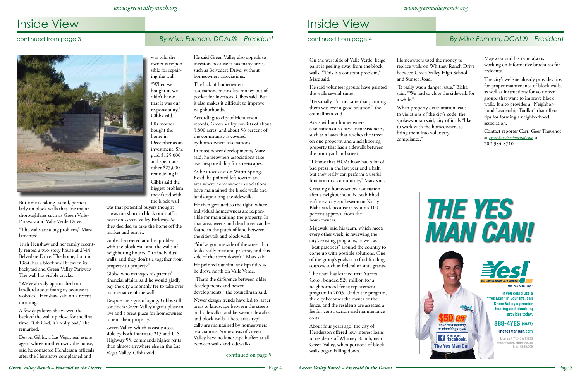## Inside View

### *By Mike Forman, DCAL® – President*



## Inside View

### *By Mike Forman, DCAL® – President*

On the west side of Valle Verde, beige paint is peeling away from the block walls. "This is a constant problem," Marz said.

He said volunteer groups have painted the walls several times.

"Personally, I'm not sure that painting them was ever a good solution," the councilman said.

Areas without homeowners associations also have inconsistencies, such as a lawn that reaches the street on one property, and a neighboring property that has a sidewalk between the front yard and street.

"I know that HOAs have had a lot of bad press in the last year and a half, but they really can perform a useful function in a community," Marz said.

Creating a homeowners association after a neighborhood is established isn't easy, city spokeswoman Kathy Blaha said, because it requires 100 percent approval from the homeowners.

Majewski said his team, which meets every other week, is reviewing the city's existing programs, as well as "best practices" around the country to come up with possible solutions. One of the group's goals is to find funding sources, such as federal or state grants.

The team has learned that Aurora, Colo., bonded \$20 million for a neighborhood fence replacement program in 2003. Under the program, the city becomes the owner of the fence, and the residents are assessed a fee for construction and maintenance costs.

About four years ago, the city of Henderson offered low-interest loans to residents of Whitney Ranch, near Green Valley, when portions of block walls began falling down.

Homeowners used the money to replace walls on Whitney Ranch Drive between Green Valley High School and Sunset Road.

"It really was a danger issue," Blaha said. "We had to close the sidewalk for

a while."

When property deterioration leads to violations of the city's code, the spokeswoman said, city officials "like to work with the homeowners to bring them into voluntary compliance."





Majewski said his team also is working on informative brochures for residents.

The city's website already provides tips for proper maintenance of block walls, as well as instructions for volunteer groups that want to improve block walls. It also provides a "Neighborhood Leadership Toolkit" that offers tips for forming a neighborhood association.

Contact reporter Carri Geer Thevenot at *cgeer@reviewjournal.com* or 702-384-8710.

But time is taking its toll, particularly on block walls that line major thoroughfares such as Green Valley Parkway and Valle Verde Drive.

"The walls are a big problem," Marz lamented.

Trish Henshaw and her family recently rented a two-story house at 2344 Belvedere Drive. The home, built in 1984, has a block wall between its backyard and Green Valley Parkway. The wall has visible cracks.

"We've already approached our landlord about fixing it, because it wobbles," Henshaw said on a recent morning.

A few days later, she viewed the back of the wall up close for the first time. "Oh God, it's really bad," she remarked.

Devon Gibbs, a Las Vegas real estate agent whose mother owns the house, said he contacted Henderson officials after the Henshaws complained and

was told the owner is responsible for repairing the wall.

"When we bought it, we didn't know that it was our responsibility," Gibbs said. His mother bought the home in December as an investment. She paid \$125,000 and spent another \$25,000 remodeling it.

Gibbs said the biggest problem they faced with the block wall

was that potential buyers thought it was too short to block out traffic noise on Green Valley Parkway. So they decided to take the home off the market and rent it.

Gibbs discovered another problem with the block wall and the walls of neighboring houses. "It's individual walls, and they don't tie together from property to property."

Gibbs, who manages his parents' financial affairs, said he would gladly pay the city a monthly fee to take over maintenance of the wall.

Despite the signs of aging, Gibbs still considers Green Valley a great place to live and a great place for homeowners to rent their property.

Green Valley, which is easily accessible by both Interstate 215 and U.S. Highway 95, commands higher rents than almost anywhere else in the Las Vegas Valley, Gibbs said.

He said Green Valley also appeals to investors because it has many areas, such as Belvedere Drive, without homeowners associations.

The lack of homeowners associations means less money out of pocket for investors, Gibbs said. But it also makes it difficult to improve neighborhoods.

According to city of Henderson records, Green Valley consists of about 3,800 acres, and about 58 percent of the community is covered by homeowners associations.

In most newer developments, Marz said, homeowners associations take over responsibility for streetscapes.

As he drove east on Warm Springs Road, he pointed left toward an area where homeowners associations have maintained the block walls and landscape along the sidewalk.

He then gestured to the right, where individual homeowners are responsible for maintaining the property. In that area, weeds and dead trees can be found in the patch of land between the sidewalk and block wall.

"You've got one side of the street that looks really nice and pristine, and this side of the street doesn't," Marz said.

He pointed out similar disparities as he drove north on Valle Verde.

"That's the difference between older developments and newer developments," the councilman said.

Newer design trends have led to larger areas of landscape between the streets and sidewalks, and between sidewalks and block walls. Those areas typically are maintained by homeowners associations. Some areas of Green Valley have no landscape buffers at all between walls and sidewalks.

### continued from page 3



continued on page 5

### continued from page 4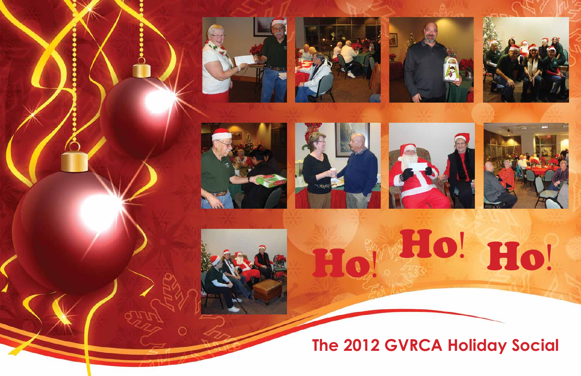# **The 2012 GVRCA Holiday Social**

















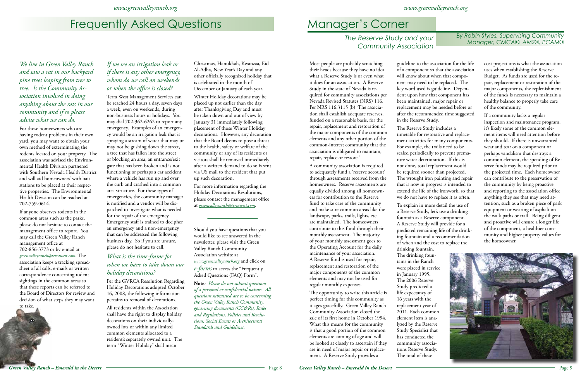# Frequently Asked Questions

*We live in Green Valley Ranch and saw a rat in our backyard pine trees leaping from tree to tree. Is the Community Association involved in doing anything about the rats in our community and if so please advise what we can do.* 

For those homeowners who are having rodent problems in their own yard, you may want to obtain your own method of exterminating the rodents located on your property. The association was advised the Environmental Health Division partnered with Southern Nevada Health District and will aid homeowners' with bait stations to be placed at their respective properties. The Environmental Health Division can be reached at 702-759-0614.

If anyone observes rodents in the common areas such as the parks, please do not hesitate to contact the management office to report. You may call the Green Valley Ranch management office at 702-856-3773 or by e-mail at *greenvalleyranch@terrawest.com*. The association keeps a tracking spreadsheet of all calls, e-mails or written correspondence concerning rodent sightings in the common areas so that these reports can be referred to the Board of Directors for review and decision of what steps they may want to take.



### *If we see an irrigation leak or if there is any other emergency, whom do we call on weekends or when the office is closed?*

Terra West Management Services can be reached 24 hours a day, seven days a week, even on weekends, during non-business hours or holidays. You may dial 702-362-6262 to report any emergency. Examples of an emergency would be an irrigation leak that is spraying a stream of water that may or may not be gushing down the street, a tree that has fallen into the street or blocking an area, an entrance/exit gate that has been broken and is not functioning or perhaps a car accident where a vehicle has run up and over the curb and crashed into a common area structure. For these types of emergencies, the community manager is notified and a vendor will be dispatched to investigate what is needed for the repair of the emergency. Emergency staff is trained to decipher an emergency and a non-emergency that can be addressed the following business day. So if you are unsure, please do not hesitate to call.

### *What is the time-frame for when we have to take down our holiday decorations?*

Per the GVRCA Resolution Regarding Holiday Decorations adopted October 16, 2008, the following information pertains to removal of decorations.

All residents within the Association shall have the right to display holiday decorations on their individuallyowned lots or within any limited common elements allocated to a resident's separately owned unit. The term "Winter Holiday" shall mean

Christmas, Hanukkah, Kwanzaa, Eid Al-Adha, New Year's Day and any other officially recognized holiday that is celebrated in the month of December or January of each year.

Winter Holiday decorations may be placed up not earlier than the day after Thanksgiving Day and must be taken down and out of view by January 31 immediately following placement of those Winter Holiday decorations. However, any decoration that the Board deems to pose a threat to the health, safety or welfare of the community or any of its residents or visitors shall be removed immediately after a written demand to do so is sent via US mail to the resident that put up such decoration.

For more information regarding the Holiday Decorations Resolutions, please contact the management office at *greenvalleyranch@terrawest.com*.

Should you have questions that you would like to see answered in the newsletter, please visit the Green Valley Ranch Community Association website at *www.greenvalleyranch.org* and click on *e-forms* to access the "Frequently Asked Questions (FAQ) Form".

**Note***: Please do not submit questions of a personal or confidential nature. All questions submitted are to be concerning the Green Valley Ranch Community, governing documents (CC&Rs), Rules and Regulations, Policies and Resolutions, Social Events or Architectural Standards and Guidelines.*

# Manager's Corner

*By Robin Styles, Supervising Community Manager, CMCA®. AMS®, PCAM® The Reserve Study and your* 

*Community Association*

Most people are probably scratching their heads because they have no idea what a Reserve Study is or even what it does for an association. A Reserve Study in the state of Nevada is required for community associations per Nevada Revised Statutes (NRS) 116. Per NRS 116.3115 (b) 'The association shall establish adequate reserves, funded on a reasonable basis, for the repair, replacement and restoration of the major components of the common elements and any other portion of the common-interest community that the association is obligated to maintain, repair, replace or restore.'

A community association is required to adequately fund a 'reserve account' through assessments received from the homeowners. Reserve assessments are equally divided among all homeowners for contribution to the Reserve fund to take care of the community and make sure common areas like the landscape, parks, trails, lights, etc. are maintained. The homeowners contribute to this fund through their monthly assessment. The majority of your monthly assessment goes to the Operating Account for the daily maintenance of your association. A Reserve fund is used for repair, replacement and restoration of the major components of the common elements and may not be used for regular monthly expenses.

The opportunity to write this article is perfect timing for this community as it ages gracefully. Green Valley Ranch Community Association closed the sale of its first home in October 1994. What this means for the community is that a good portion of the common elements are coming of age and will be looked at closely to ascertain if they are in need of major repair or replacement. A Reserve Study provides a

guideline to the association for the life of a component so that the association will know about when that component may need to be replaced. The key word used is guideline. Dependent upon how that component has been maintained, major repair or replacement may be needed before or after the recommended time suggested in the Reserve Study.

The Reserve Study includes a timetable for restorative and replacement activities for many components. For example, the trails need to be sealed periodically to prevent premature water deterioration. If this is not done, total replacement would be required sooner than projected. The wrought iron painting and repair that is now in progress is intended to extend the life of the ironwork, so that we do not have to replace it as often.

To explain in more detail the use of a Reserve Study, let's use a drinking fountain as a Reserve component. A Reserve Study will provide for a predicted remaining life of the drinking fountain and a recommendation of when and the cost to replace the drinking fountain. The drinking fountains in the Ranch were placed in service in January 1995. The 2006 Reserve Study predicted a life expectancy of 16 years with the replacement year of 2011. Each common element item is analyzed by the Reserve Study Specialist that has conducted the community associations Reserve Study. The total of these

cost projections is what the association uses when establishing the Reserve Budget. As funds are used for the repair, replacement or restoration of the major components, the replenishment of the funds is necessary to maintain a healthy balance to properly take care of the community.

If a community lacks a regular inspection and maintenance program, it's likely some of the common element items will need attention before they should. If there is unwarranted wear and tear on a component or perhaps vandalism that destroys a common element, the spending of Reserve funds may be required prior to the projected time. Each homeowner can contribute to the preservation of the community by being proactive and reporting to the association office anything they see that may need attention, such as a broken piece of park equipment or wearing of asphalt on the walk paths or trail. Being diligent and proactive will ensure a longer life of the component, a healthier community and higher property values for the homeowner.

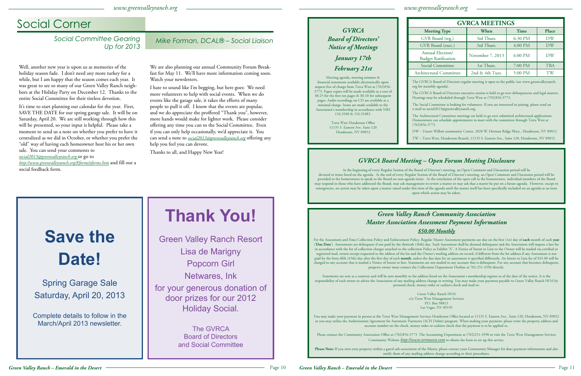*www.greenvalleyranch.org*

### *www.greenvalleyranch.org*

### *GVRCA Board of Directors' Notice of Meetings*

*January 17th February 21st*

Meeting agenda, meeting minutes  $\&$ financial statements available electronically upon request free of charge from Terra West at  $(702)856$ -3773. Paper copies will be made available at a cost of \$0.25 for the first ten pages & \$0.10 for subsequent pages. Audio recordings on CD are available at a imal charge. Items are made available to the Association's membership in accordance with NRS 116.3108 & 116.31083.

> Terra West Henderson Office 11135 S. Eastern Ave. Suite 120 Henderson, NV 89052

| <b>GVRCA MEETINGS</b>                          |                  |         |            |
|------------------------------------------------|------------------|---------|------------|
| <b>Meeting Type</b>                            | When             | Time    | Place      |
| GVR Board (reg.)                               | 3rd Thurs.       | 6:30 PM | DW         |
| GVR Board (exec.)                              | 3rd Thurs.       | 4:00 PM | DW         |
| Annual Election/<br><b>Budget Ratification</b> | November 7, 2013 | 6:00 PM | DW         |
| Social Committee                               | 1st Thurs.       | 7:00 PM | <b>TBA</b> |
| Architectural Committee                        | 2nd & 4th Tues.  | 5:00 PM |            |

### *GVRCA Board Meeting – Open Forum Meeting Disclosure*

At the beginning of every Regular Session of the Board of Director's meeting, an Open Comment and Discussion period will be devoted to items listed on the agenda. At the end of every Regular Session of the Board of Director's meeting, an Open Comment and Discussion period will be provided to the homeowners to speak to the Board on non-agenda items. At the conclusion of the open call to the homeowners, individual members of the Board may respond to those who have addressed the Board, may ask management to review a matter or may ask that a matter be put on a future agenda. However, except in emergencies, no action may be taken upon a matter raised under this item of the agenda until the matter itself has been specifically included on an agenda as an item upon which action may be taken.

The GVRCA Board of Directors regular meeting is open to the public (see www.greenvalleyranch. org for monthly agenda).

The GVRCA Board of Directors executive session is held to go over delinquencies and legal matters. Hearings may be scheduled through Terra West at (702)856-3773.

You may make your payment in person at the Terra West Management Services Henderson Office located at 11135 S. Eastern Ave., Suite 120, Henderson, NV 89052 or you may utilize the Authorization Agreement for Automatic Payments (ACH Debits) program. When making your payment, please write the property address and account number on the check, money order or cashiers check that the payment is to be applied to.

The Social Committee is looking for volunteers. If you are interested in joining, please send an e-mail to social2013@greenvalleyranch.org.

The Architectural Committee meetings are held to go over submitted architectural applications. Homeowners can schedule appointments to meet with the committee through Terra West at (702)856-3773.

DW – Desert Willow community Center, 2020 W. Horizon Ridge Pkwy., Henderson, NV 89012

TW – Terra West, Henderson Branch, 11135 S. Eastern Ave., Suite 120, Henderson, NV 89052

Social Committee Gearing Mike Forman, DCAL® – Social Liaison *Up for 2013*

### *Green Valley Ranch Community Association Master Association Assessment Payment Information \$50.00 Monthly*

Per the Assessment and Fines Collection Policy and Enforcement Policy, Regular Master Assessment payments are due on the first (1st) day of **each** month of each **year** ('**Due Date**'). Assessments are delinquent if not paid by the thirtieth (30th) day. Such Assessment shall be deemed delinquent and the Association will impose a late fee in accordance with the list of collection charges attached to the collection Policy as Exhibit "A". A Notice of Intent to Lien to the Owner will be mailed via certified or registered mail, return receipt requested to the address of the lot and the Owner's mailing address on record, if different from the lot address if any Assessment is not paid by the forty-fifth (45th) day after the first day of each month, unless the due date for an assessment is specified differently. An Intent to Lien fee of \$45.00 will be charged to any account that is mailed a Notice of Intent to lien. Statements are not mailed to any account that is delinquent. For any account that becomes delinquent, property owner must contact the Collections Department Hotline at 702-251-4596 directly.

Statements are sent as a courtesy and will be sent monthly to the address listed on the Association's membership register as of the date of the notice. It is the responsibility of each owner to advise the Association of any mailing address change in writing. You may make your payment payable to Green Valley Ranch HOA by personal check, money order or cashiers check and mail to:

Green Valley Ranch HOA c/o Terra West Management Services P.O. Box 98813 Las Vegas, NV 89193

Please contact the Community Association Office at (702)856-3773. The Accounting Department at (702)251-4598 or visit the Terra West Management Services Community Website *http://www.terrawest.com* to obtain the form to set up this service.

**Please Note:** If you own your property within a gated sub-association of the Master, please contact your Community Manager for dues payment information and also notify them of any mailing address change according to their procedures.

## Social Corner

Well, another new year is upon us as memories of the holiday season fade. I don't need any more turkey for a while, but I am happy that the season comes each year. It was great to see so many of our Green Valley Ranch neighbors at the Holiday Party on December 12. Thanks to the entire Social Committee for their tireless devotion.

It's time to start planning our calendar for the year. First, SAVE THE DATE for our spring garage sale. It will be on Saturday, April 20. We are still working through how this will be presented, so your input is helpful. Please take a moment to send us a note on whether you prefer to have it centralized as we did in October, or whether you prefer the "old" way of having each homeowner host his or her own sale. You can send your comments to

*social2013@greenvalleyranch.org* or go to

*http://www.greenvalleyranch.org/Eforms/eforms.htm* and fill out a social feedback form.

We are also planning our annual Community Forum Breakfast for May 11. We'll have more information coming soon. Watch your newsletters.

I hate to sound like I'm begging, but here goes: We need more volunteers to help with social events. When we do events like the garage sale, it takes the efforts of many people to pull it off. I know that the events are popular, and we do appreciate the proffered "Thank you", however, more hands would make for lighter work. Please consider offering any time you can to the Social Committee. Even if you can only help occasionally, we'd appreciate it. You can send a note to *social2013@greenvalleyranch.org* offering any help you feel you can devote.

Thanks to all, and Happy New Year!

# **Thank You!**

Green Valley Ranch Resort Lisa de Marigny Popcorn Girl Netwares, Ink for your generous donation of door prizes for our 2012 Holiday Social.

> The GVRCA Board of Directors and Social Committee

# **Save the Date!**

Spring Garage Sale Saturday, April 20, 2013

Complete details to follow in the March/April 2013 newsletter.